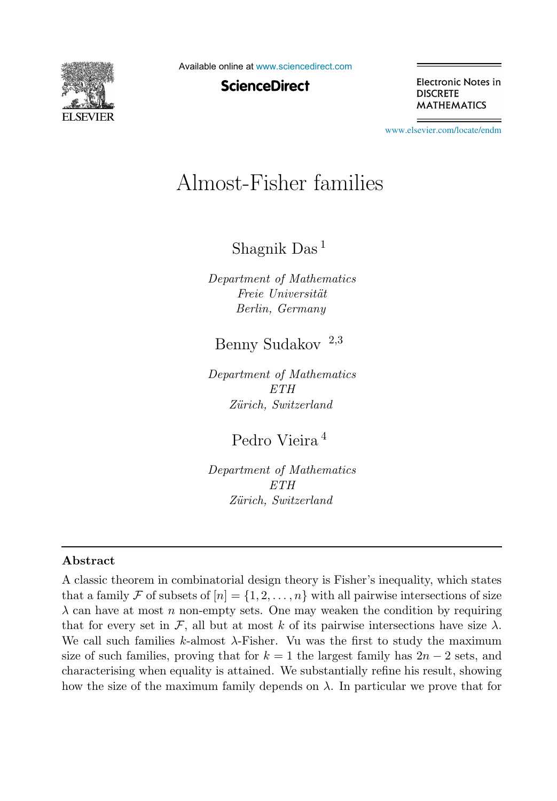

Available online at [www.sciencedirect.com](http://www.sciencedirect.com)

**ScienceDirect** 

Electronic Notes in **DISCRETE MATHEMATICS** 

[www.elsevier.com/locate/endm](http://www.elsevier.com/locate/endm)

# Almost-Fisher families

Shagnik Das <sup>1</sup>

Department of Mathematics Freie Universität Berlin, Germany

# Benny Sudakov <sup>2</sup>,<sup>3</sup>

Department of Mathematics ETH Zürich, Switzerland

# Pedro Vieira <sup>4</sup>

Department of Mathematics ETH Zürich, Switzerland

## Abstract

A classic theorem in combinatorial design theory is Fisher's inequality, which states that a family F of subsets of  $[n] = \{1, 2, \ldots, n\}$  with all pairwise intersections of size  $\lambda$  can have at most n non-empty sets. One may weaken the condition by requiring that for every set in F, all but at most k of its pairwise intersections have size  $\lambda$ . We call such families k-almost  $\lambda$ -Fisher. Vu was the first to study the maximum size of such families, proving that for  $k = 1$  the largest family has  $2n - 2$  sets, and characterising when equality is attained. We substantially refine his result, showing how the size of the maximum family depends on  $\lambda$ . In particular we prove that for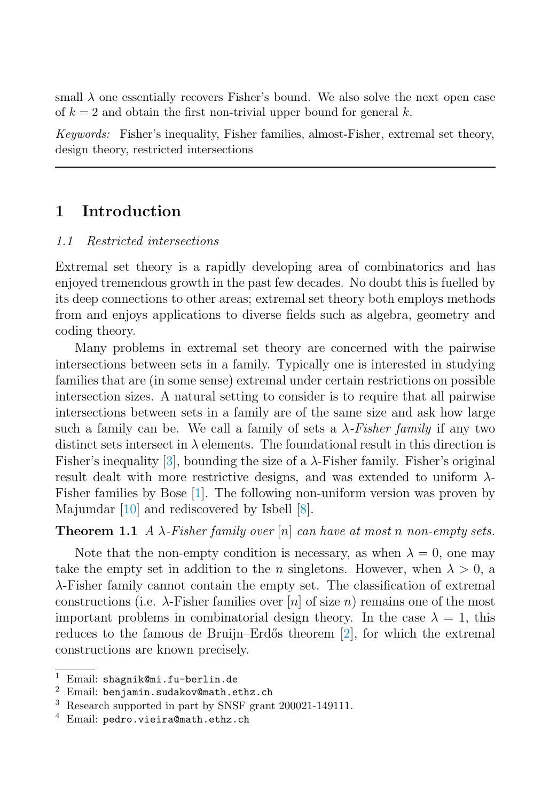small  $\lambda$  one essentially recovers Fisher's bound. We also solve the next open case of  $k = 2$  and obtain the first non-trivial upper bound for general k.

Keywords: Fisher's inequality, Fisher families, almost-Fisher, extremal set theory, design theory, restricted intersections

# 1 Introduction

#### 1.1 Restricted intersections

Extremal set theory is a rapidly developing area of combinatorics and has enjoyed tremendous growth in the past few decades. No doubt this is fuelled by its deep connections to other areas; extremal set theory both employs methods from and enjoys applications to diverse fields such as algebra, geometry and coding theory.

Many problems in extremal set theory are concerned with the pairwise intersections between sets in a family. Typically one is interested in studying families that are (in some sense) extremal under certain restrictions on possible intersection sizes. A natural setting to consider is to require that all pairwise intersections between sets in a family are of the same size and ask how large such a family can be. We call a family of sets a  $\lambda$ -Fisher family if any two distinct sets intersect in  $\lambda$  elements. The foundational result in this direction is Fisher's inequality [\[3\]](#page-6-0), bounding the size of a  $\lambda$ -Fisher family. Fisher's original result dealt with more restrictive designs, and was extended to uniform  $\lambda$ -Fisher families by Bose [\[1\]](#page-6-1). The following non-uniform version was proven by Majumdar [\[10\]](#page-6-2) and rediscovered by Isbell [\[8\]](#page-6-3).

<span id="page-1-0"></span>**Theorem 1.1** A  $\lambda$ -Fisher family over  $[n]$  can have at most n non-empty sets.

Note that the non-empty condition is necessary, as when  $\lambda = 0$ , one may take the empty set in addition to the *n* singletons. However, when  $\lambda > 0$ , a λ-Fisher family cannot contain the empty set. The classification of extremal constructions (i.e.  $\lambda$ -Fisher families over [n] of size n) remains one of the most important problems in combinatorial design theory. In the case  $\lambda = 1$ , this reduces to the famous de Bruijn–Erdős theorem [\[2\]](#page-6-4), for which the extremal constructions are known precisely.

<sup>&</sup>lt;sup>1</sup> Email: shagnik@mi.fu-berlin.de  $^{2}$  Email: benjamin.sudakov@math.ethz.ch

<sup>&</sup>lt;sup>3</sup> Research supported in part by SNSF grant 200021-149111.

 $4$  Email: pedro.vieira@math.ethz.ch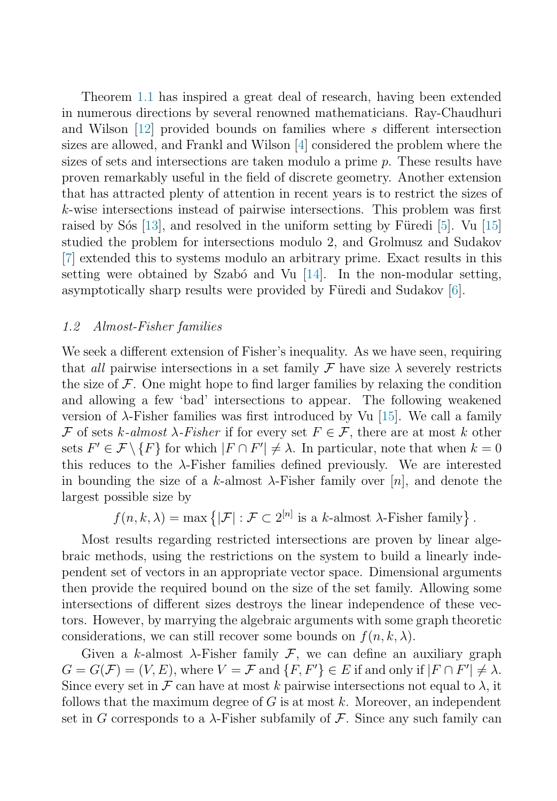Theorem [1.1](#page-1-0) has inspired a great deal of research, having been extended in numerous directions by several renowned mathematicians. Ray-Chaudhuri and Wilson [\[12\]](#page-6-5) provided bounds on families where s different intersection sizes are allowed, and Frankl and Wilson [\[4\]](#page-6-6) considered the problem where the sizes of sets and intersections are taken modulo a prime p. These results have proven remarkably useful in the field of discrete geometry. Another extension that has attracted plenty of attention in recent years is to restrict the sizes of k-wise intersections instead of pairwise intersections. This problem was first raised by Sós [\[13\]](#page-7-0), and resolved in the uniform setting by Füredi [\[5\]](#page-6-7). Vu [\[15\]](#page-7-1) studied the problem for intersections modulo 2, and Grolmusz and Sudakov [\[7\]](#page-6-8) extended this to systems modulo an arbitrary prime. Exact results in this setting were obtained by Szabó and Vu  $[14]$ . In the non-modular setting, asymptotically sharp results were provided by Füredi and Sudakov [\[6\]](#page-6-9).

#### 1.2 Almost-Fisher families

We seek a different extension of Fisher's inequality. As we have seen, requiring that all pairwise intersections in a set family  $\mathcal F$  have size  $\lambda$  severely restricts the size of  $\mathcal F$ . One might hope to find larger families by relaxing the condition and allowing a few 'bad' intersections to appear. The following weakened version of  $\lambda$ -Fisher families was first introduced by Vu [\[15\]](#page-7-1). We call a family F of sets k-almost  $\lambda$ -Fisher if for every set  $F \in \mathcal{F}$ , there are at most k other sets  $F' \in \mathcal{F} \setminus \{F\}$  for which  $|F \cap F'| \neq \lambda$ . In particular, note that when  $k = 0$ this reduces to the  $\lambda$ -Fisher families defined previously. We are interested in bounding the size of a k-almost  $\lambda$ -Fisher family over [n], and denote the largest possible size by

 $f(n, k, \lambda) = \max \{ |\mathcal{F}| : \mathcal{F} \subset 2^{[n]} \text{ is a } k\text{-almost } \lambda\text{-Fisher family} \}.$ 

Most results regarding restricted intersections are proven by linear algebraic methods, using the restrictions on the system to build a linearly independent set of vectors in an appropriate vector space. Dimensional arguments then provide the required bound on the size of the set family. Allowing some intersections of different sizes destroys the linear independence of these vectors. However, by marrying the algebraic arguments with some graph theoretic considerations, we can still recover some bounds on  $f(n, k, \lambda)$ .

Given a k-almost  $\lambda$ -Fisher family F, we can define an auxiliary graph  $G = G(\mathcal{F}) = (V, E)$ , where  $V = \mathcal{F}$  and  $\{F, F'\} \in E$  if and only if  $|F \cap F'| \neq \lambda$ . Since every set in F can have at most k pairwise intersections not equal to  $\lambda$ , it follows that the maximum degree of  $G$  is at most k. Moreover, an independent set in G corresponds to a  $\lambda$ -Fisher subfamily of F. Since any such family can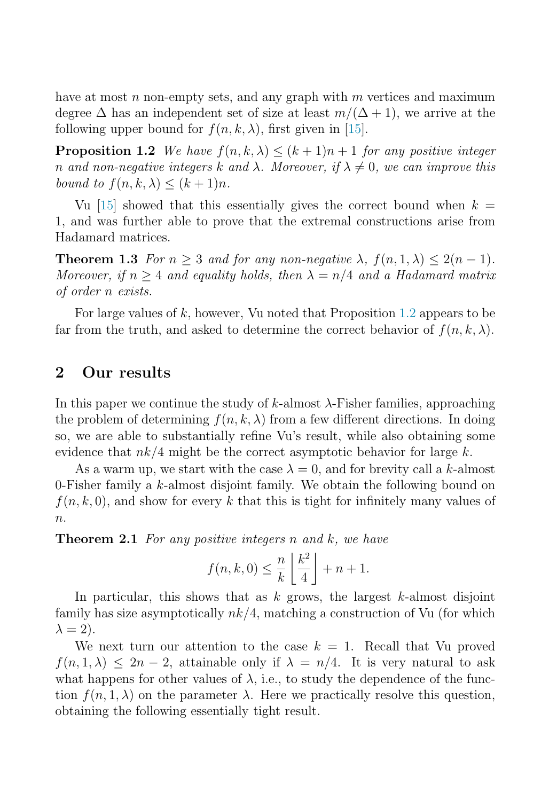<span id="page-3-0"></span>have at most  $n$  non-empty sets, and any graph with  $m$  vertices and maximum degree  $\Delta$  has an independent set of size at least  $m/(\Delta+1)$ , we arrive at the following upper bound for  $f(n, k, \lambda)$ , first given in [\[15\]](#page-7-1).

<span id="page-3-1"></span>**Proposition 1.2** We have  $f(n, k, \lambda) \leq (k+1)n+1$  for any positive integer n and non-negative integers k and  $\lambda$ . Moreover, if  $\lambda \neq 0$ , we can improve this bound to  $f(n, k, \lambda) \leq (k+1)n$ .

Vu [\[15\]](#page-7-1) showed that this essentially gives the correct bound when  $k =$ 1, and was further able to prove that the extremal constructions arise from Hadamard matrices.

**Theorem 1.3** For  $n \geq 3$  and for any non-negative  $\lambda$ ,  $f(n, 1, \lambda) \leq 2(n-1)$ . Moreover, if  $n \geq 4$  and equality holds, then  $\lambda = n/4$  and a Hadamard matrix of order n exists.

For large values of  $k$ , however, Vu noted that Proposition [1.2](#page-3-0) appears to be far from the truth, and asked to determine the correct behavior of  $f(n, k, \lambda)$ .

## 2 Our results

In this paper we continue the study of k-almost  $\lambda$ -Fisher families, approaching the problem of determining  $f(n, k, \lambda)$  from a few different directions. In doing so, we are able to substantially refine Vu's result, while also obtaining some evidence that  $nk/4$  might be the correct asymptotic behavior for large k.

<span id="page-3-2"></span>As a warm up, we start with the case  $\lambda = 0$ , and for brevity call a k-almost 0-Fisher family a k-almost disjoint family. We obtain the following bound on  $f(n, k, 0)$ , and show for every k that this is tight for infinitely many values of  $\overline{n}$ .

**Theorem 2.1** For any positive integers n and k, we have

$$
f(n,k,0) \leq \frac{n}{k} \left\lfloor \frac{k^2}{4} \right\rfloor + n + 1.
$$

In particular, this shows that as  $k$  grows, the largest  $k$ -almost disjoint family has size asymptotically  $nk/4$ , matching a construction of Vu (for which  $\lambda = 2$ ).

<span id="page-3-3"></span>We next turn our attention to the case  $k = 1$ . Recall that Vu proved  $f(n, 1, \lambda) \leq 2n - 2$ , attainable only if  $\lambda = n/4$ . It is very natural to ask what happens for other values of  $\lambda$ , i.e., to study the dependence of the function  $f(n, 1, \lambda)$  on the parameter  $\lambda$ . Here we practically resolve this question, obtaining the following essentially tight result.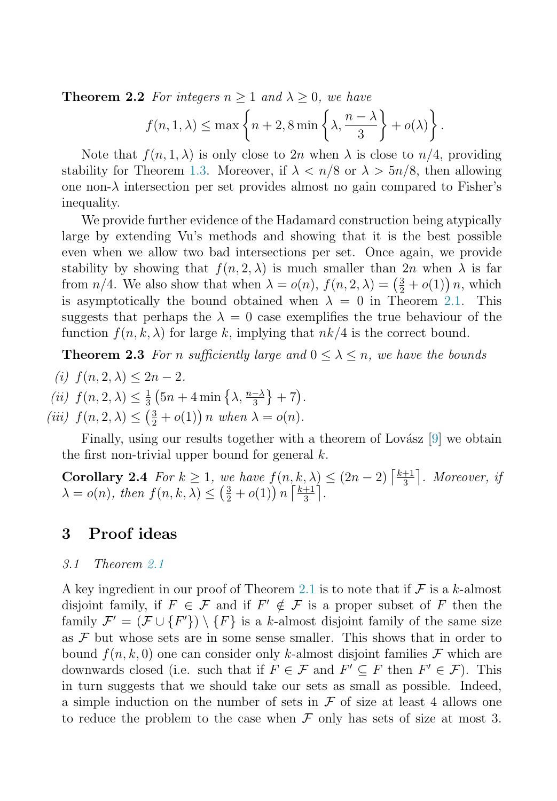**Theorem 2.2** For integers  $n \geq 1$  and  $\lambda \geq 0$ , we have

$$
f(n, 1, \lambda) \le \max \left\{ n + 2, 8 \min \left\{ \lambda, \frac{n - \lambda}{3} \right\} + o(\lambda) \right\}.
$$

Note that  $f(n, 1, \lambda)$  is only close to  $2n$  when  $\lambda$  is close to  $n/4$ , providing stability for Theorem [1.3.](#page-3-1) Moreover, if  $\lambda < n/8$  or  $\lambda > 5n/8$ , then allowing one non- $\lambda$  intersection per set provides almost no gain compared to Fisher's inequality.

<span id="page-4-0"></span>We provide further evidence of the Hadamard construction being atypically large by extending Vu's methods and showing that it is the best possible even when we allow two bad intersections per set. Once again, we provide stability by showing that  $f(n, 2, \lambda)$  is much smaller than  $2n$  when  $\lambda$  is far from  $n/4$ . We also show that when  $\lambda = o(n)$ ,  $f(n, 2, \lambda) = \left(\frac{3}{2} + o(1)\right)n$ , which is asymptotically the bound obtained when  $\lambda = 0$  in Theorem [2.1.](#page-3-2) This suggests that perhaps the  $\lambda = 0$  case exemplifies the true behaviour of the function  $f(n, k, \lambda)$  for large k, implying that  $nk/4$  is the correct bound.

**Theorem 2.3** For n sufficiently large and  $0 \leq \lambda \leq n$ , we have the bounds

- (i)  $f(n, 2, \lambda) < 2n 2$ .
- <span id="page-4-1"></span>(*ii*)  $f(n, 2, \lambda) \leq \frac{1}{3} \left( 5n + 4 \min \left\{ \lambda, \frac{n-\lambda}{3} \right\} + 7 \right)$ .
- (iii)  $f(n, 2, \lambda) \leq (\frac{3}{2} + o(1)) n$  when  $\lambda = o(n)$ .

Finally, using our results together with a theorem of Lovász [\[9\]](#page-6-10) we obtain the first non-trivial upper bound for general  $k$ .

**Corollary 2.4** For  $k \geq 1$ , we have  $f(n, k, \lambda) \leq (2n - 2) \left\lceil \frac{k+1}{3} \right\rceil$ . Moreover, if  $\lambda = o(n)$ , then  $f(n, k, \lambda) \leq \left(\frac{3}{2} + o(1)\right) n \left\lceil \frac{k+1}{3} \right\rceil$ .

# 3 Proof ideas

#### 3.1 Theorem [2.1](#page-3-2)

A key ingredient in our proof of Theorem [2.1](#page-3-2) is to note that if  $\mathcal F$  is a k-almost disjoint family, if  $F \in \mathcal{F}$  and if  $F' \notin \mathcal{F}$  is a proper subset of F then the family  $\mathcal{F}' = (\mathcal{F} \cup \{F'\}) \setminus \{F\}$  is a k-almost disjoint family of the same size as  $\mathcal F$  but whose sets are in some sense smaller. This shows that in order to bound  $f(n, k, 0)$  one can consider only k-almost disjoint families F which are downwards closed (i.e. such that if  $F \in \mathcal{F}$  and  $F' \subseteq F$  then  $F' \in \mathcal{F}$ ). This in turn suggests that we should take our sets as small as possible. Indeed, a simple induction on the number of sets in  $\mathcal F$  of size at least 4 allows one to reduce the problem to the case when  $\mathcal F$  only has sets of size at most 3.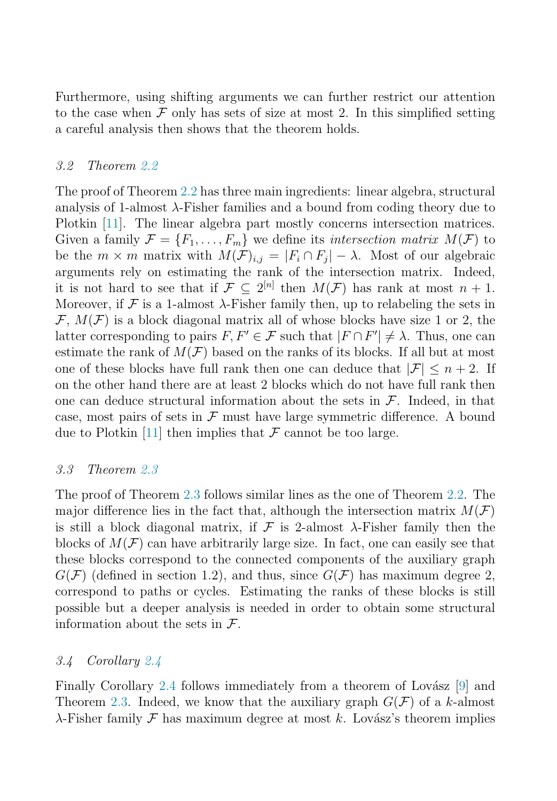Furthermore, using shifting arguments we can further restrict our attention to the case when  $\mathcal F$  only has sets of size at most 2. In this simplified setting a careful analysis then shows that the theorem holds.

#### 3.2 Theorem [2.2](#page-3-3)

The proof of Theorem [2.2](#page-3-3) has three main ingredients: linear algebra, structural analysis of 1-almost  $\lambda$ -Fisher families and a bound from coding theory due to Plotkin [\[11\]](#page-6-11). The linear algebra part mostly concerns intersection matrices. Given a family  $\mathcal{F} = \{F_1, \ldots, F_m\}$  we define its *intersection matrix*  $M(\mathcal{F})$  to be the  $m \times m$  matrix with  $M(F)_{i,j} = |F_i \cap F_j| - \lambda$ . Most of our algebraic arguments rely on estimating the rank of the intersection matrix. Indeed, it is not hard to see that if  $\mathcal{F} \subset 2^{[n]}$  then  $M(\mathcal{F})$  has rank at most  $n+1$ . Moreover, if  $\mathcal F$  is a 1-almost  $\lambda$ -Fisher family then, up to relabeling the sets in  $\mathcal{F}, M(\mathcal{F})$  is a block diagonal matrix all of whose blocks have size 1 or 2, the latter corresponding to pairs  $F, F' \in \mathcal{F}$  such that  $|F \cap F'| \neq \lambda$ . Thus, one can estimate the rank of  $M(\mathcal{F})$  based on the ranks of its blocks. If all but at most one of these blocks have full rank then one can deduce that  $|\mathcal{F}| \leq n+2$ . If on the other hand there are at least 2 blocks which do not have full rank then one can deduce structural information about the sets in  $\mathcal{F}$ . Indeed, in that case, most pairs of sets in  $\mathcal F$  must have large symmetric difference. A bound due to Plotkin [\[11\]](#page-6-11) then implies that  $\mathcal F$  cannot be too large.

## 3.3 Theorem [2.3](#page-4-0)

The proof of Theorem [2.3](#page-4-0) follows similar lines as the one of Theorem [2.2.](#page-3-3) The major difference lies in the fact that, although the intersection matrix  $M(\mathcal{F})$ is still a block diagonal matrix, if  $\mathcal F$  is 2-almost  $\lambda$ -Fisher family then the blocks of  $M(\mathcal{F})$  can have arbitrarily large size. In fact, one can easily see that these blocks correspond to the connected components of the auxiliary graph  $G(\mathcal{F})$  (defined in section 1.2), and thus, since  $G(\mathcal{F})$  has maximum degree 2, correspond to paths or cycles. Estimating the ranks of these blocks is still possible but a deeper analysis is needed in order to obtain some structural information about the sets in  $\mathcal{F}$ .

#### 3.4 Corollary [2.4](#page-4-1)

Finally Corollary [2.4](#page-4-1) follows immediately from a theorem of Lovász  $[9]$  and Theorem [2.3.](#page-4-0) Indeed, we know that the auxiliary graph  $G(\mathcal{F})$  of a k-almost  $\lambda$ -Fisher family F has maximum degree at most k. Lovász's theorem implies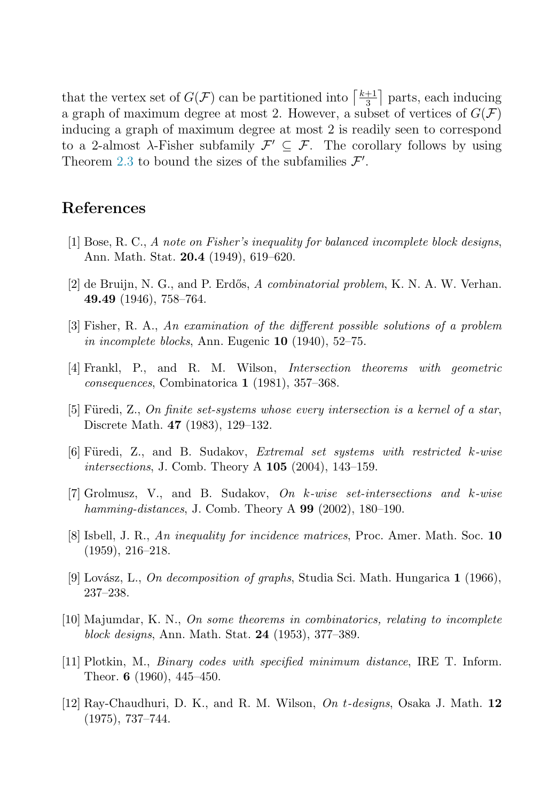<span id="page-6-1"></span>that the vertex set of  $G(\mathcal{F})$  can be partitioned into  $\left\lceil \frac{k+1}{3} \right\rceil$  parts, each inducing a graph of maximum degree at most 2. However, a subset of vertices of  $G(\mathcal{F})$ inducing a graph of maximum degree at most 2 is readily seen to correspond to a 2-almost  $\lambda$ -Fisher subfamily  $\mathcal{F}' \subset \mathcal{F}$ . The corollary follows by using Theorem [2.3](#page-4-0) to bound the sizes of the subfamilies  $\mathcal{F}'$ .

# <span id="page-6-4"></span>References

- <span id="page-6-0"></span>[1] Bose, R. C., A note on Fisher's inequality for balanced incomplete block designs, Ann. Math. Stat. 20.4 (1949), 619–620.
- <span id="page-6-6"></span> $[2]$  de Bruijn, N. G., and P. Erdős, A combinatorial problem, K. N. A. W. Verhan. 49.49 (1946), 758–764.
- <span id="page-6-7"></span>[3] Fisher, R. A., An examination of the different possible solutions of a problem in incomplete blocks, Ann. Eugenic 10 (1940), 52–75.
- <span id="page-6-9"></span>[4] Frankl, P., and R. M. Wilson, Intersection theorems with geometric consequences, Combinatorica 1 (1981), 357–368.
- <span id="page-6-8"></span>[5] Füredi, Z., On finite set-systems whose every intersection is a kernel of a star, Discrete Math. 47 (1983), 129–132.
- <span id="page-6-3"></span>[6] Füredi, Z., and B. Sudakov, *Extremal set systems with restricted k-wise* intersections, J. Comb. Theory A 105 (2004), 143–159.
- <span id="page-6-10"></span>[7] Grolmusz, V., and B. Sudakov, On k-wise set-intersections and k-wise hamming-distances, J. Comb. Theory A  $99$  (2002), 180–190.
- <span id="page-6-2"></span>[8] Isbell, J. R., An inequality for incidence matrices, Proc. Amer. Math. Soc. 10 (1959), 216–218.
- <span id="page-6-11"></span>[9] Lovász, L., On decomposition of graphs, Studia Sci. Math. Hungarica 1 (1966), 237–238.
- <span id="page-6-5"></span>[10] Majumdar, K. N., On some theorems in combinatorics, relating to incomplete block designs, Ann. Math. Stat. 24 (1953), 377–389.
- [11] Plotkin, M., Binary codes with specified minimum distance, IRE T. Inform. Theor. 6 (1960), 445–450.
- [12] Ray-Chaudhuri, D. K., and R. M. Wilson,  $On t$ -designs, Osaka J. Math. 12 (1975), 737–744.